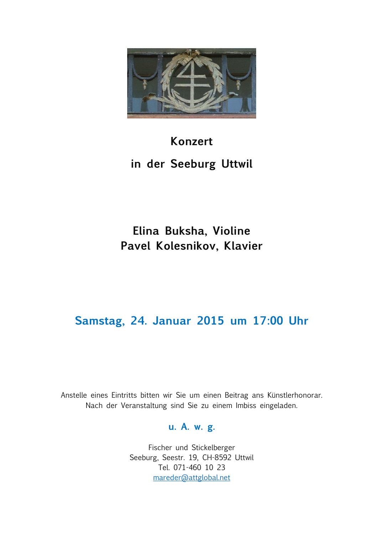

# **Konzert**

# **in der Seeburg Uttwil**

# **Elina Buksha, Violine Pavel Kolesnikov, Klavier**

# **Samstag, 24. Januar 2015 um 17:00 Uhr**

Anstelle eines Eintritts bitten wir Sie um einen Beitrag ans Künstlerhonorar. Nach der Veranstaltung sind Sie zu einem Imbiss eingeladen.

### **u. A. w. g.**

Fischer und Stickelberger Seeburg, Seestr. 19, CH-8592 Uttwil Tel. 071-460 10 23 [mareder@attglobal.net](mailto:mareder@attglobal.net)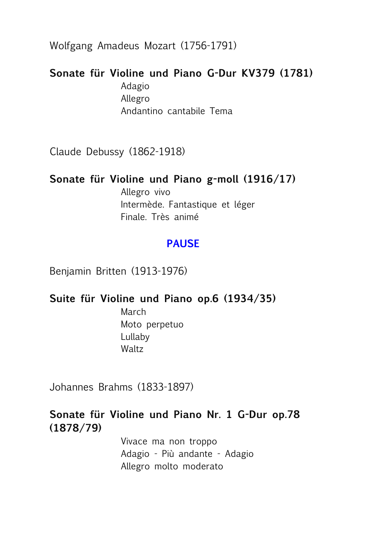Wolfgang Amadeus Mozart (1756-1791)

## **Sonate für Violine und Piano G-Dur KV379 (1781)**

Adagio Allegro Andantino cantabile Tema

Claude Debussy (1862-1918)

### **Sonate für Violine und Piano g-moll (1916/17)**

Allegro vivo Intermède. Fantastique et léger Finale. Très animé

## **PAUSE**

Benjamin Britten (1913-1976)

### **Suite für Violine und Piano op.6 (1934/35)**

March Moto perpetuo Lullaby Waltz

Johannes Brahms (1833-1897)

## **Sonate für Violine und Piano Nr. 1 G-Dur op.78 (1878/79)**

Vivace ma non troppo Adagio - Più andante - Adagio Allegro molto moderato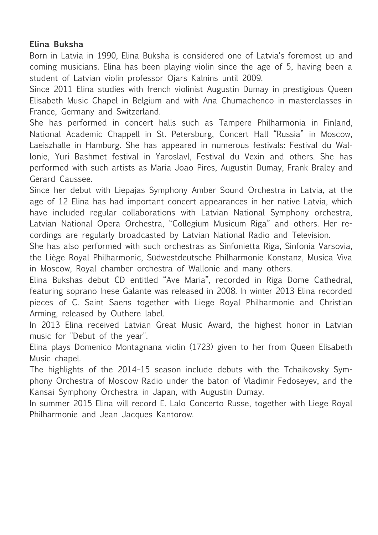#### **Elina Buksha**

Born in Latvia in 1990, Elina Buksha is considered one of Latvia's foremost up and coming musicians. Elina has been playing violin since the age of 5, having been a student of Latvian violin professor Ojars Kalnins until 2009.

Since 2011 Elina studies with french violinist Augustin Dumay in prestigious Queen Elisabeth Music Chapel in Belgium and with Ana Chumachenco in masterclasses in France, Germany and Switzerland.

She has performed in concert halls such as Tampere Philharmonia in Finland, National Academic Chappell in St. Petersburg, Concert Hall "Russia" in Moscow, Laeiszhalle in Hamburg. She has appeared in numerous festivals: Festival du Wallonie, Yuri Bashmet festival in Yaroslavl, Festival du Vexin and others. She has performed with such artists as Maria Joao Pires, Augustin Dumay, Frank Braley and Gerard Caussee.

Since her debut with Liepajas Symphony Amber Sound Orchestra in Latvia, at the age of 12 Elina has had important concert appearances in her native Latvia, which have included regular collaborations with Latvian National Symphony orchestra, Latvian National Opera Orchestra, "Collegium Musicum Riga" and others. Her recordings are regularly broadcasted by Latvian National Radio and Television.

She has also performed with such orchestras as Sinfonietta Riga, Sinfonia Varsovia, the Liège Royal Philharmonic, Südwestdeutsche Philharmonie Konstanz, Musica Viva in Moscow, Royal chamber orchestra of Wallonie and many others.

Elina Bukshas debut CD entitled "Ave Maria", recorded in Riga Dome Cathedral, featuring soprano Inese Galante was released in 2008. In winter 2013 Elina recorded pieces of C. Saint Saens together with Liege Royal Philharmonie and Christian Arming, released by Outhere label.

In 2013 Elina received Latvian Great Music Award, the highest honor in Latvian music for "Debut of the year".

Elina plays Domenico Montagnana violin (1723) given to her from Queen Elisabeth Music chapel.

The highlights of the 2014–15 season include debuts with the Tchaikovsky Symphony Orchestra of Moscow Radio under the baton of Vladimir Fedoseyev, and the Kansai Symphony Orchestra in Japan, with Augustin Dumay.

In summer 2015 Elina will record E. Lalo Concerto Russe, together with Liege Royal Philharmonie and Jean Jacques Kantorow.